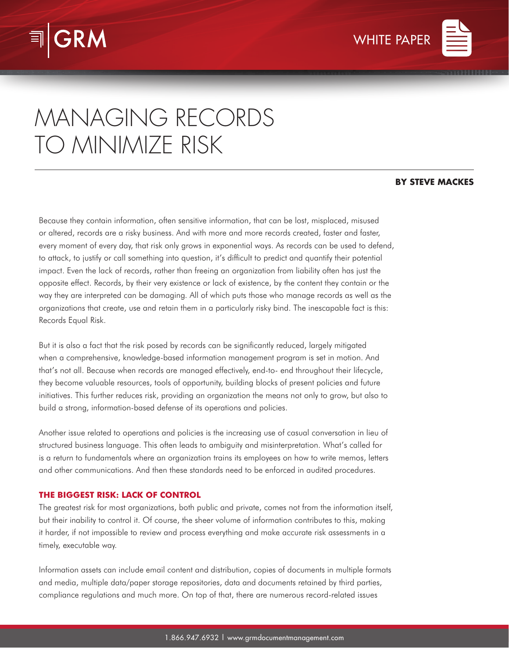



# MANAGING RECORDS TO MINIMIZE RISK

## **BY STEVE MACKES**

Because they contain information, often sensitive information, that can be lost, misplaced, misused or altered, records are a risky business. And with more and more records created, faster and faster, every moment of every day, that risk only grows in exponential ways. As records can be used to defend, to attack, to justify or call something into question, it's difficult to predict and quantify their potential impact. Even the lack of records, rather than freeing an organization from liability often has just the opposite effect. Records, by their very existence or lack of existence, by the content they contain or the way they are interpreted can be damaging. All of which puts those who manage records as well as the organizations that create, use and retain them in a particularly risky bind. The inescapable fact is this: Records Equal Risk.

But it is also a fact that the risk posed by records can be significantly reduced, largely mitigated when a comprehensive, knowledge-based information management program is set in motion. And that's not all. Because when records are managed effectively, end-to- end throughout their lifecycle, they become valuable resources, tools of opportunity, building blocks of present policies and future initiatives. This further reduces risk, providing an organization the means not only to grow, but also to build a strong, information-based defense of its operations and policies.

Another issue related to operations and policies is the increasing use of casual conversation in lieu of structured business language. This often leads to ambiguity and misinterpretation. What's called for is a return to fundamentals where an organization trains its employees on how to write memos, letters and other communications. And then these standards need to be enforced in audited procedures.

# **THE BIGGEST RISK: LACK OF CONTROL**

The greatest risk for most organizations, both public and private, comes not from the information itself, but their inability to control it. Of course, the sheer volume of information contributes to this, making it harder, if not impossible to review and process everything and make accurate risk assessments in a timely, executable way.

Information assets can include email content and distribution, copies of documents in multiple formats and media, multiple data/paper storage repositories, data and documents retained by third parties, compliance regulations and much more. On top of that, there are numerous record-related issues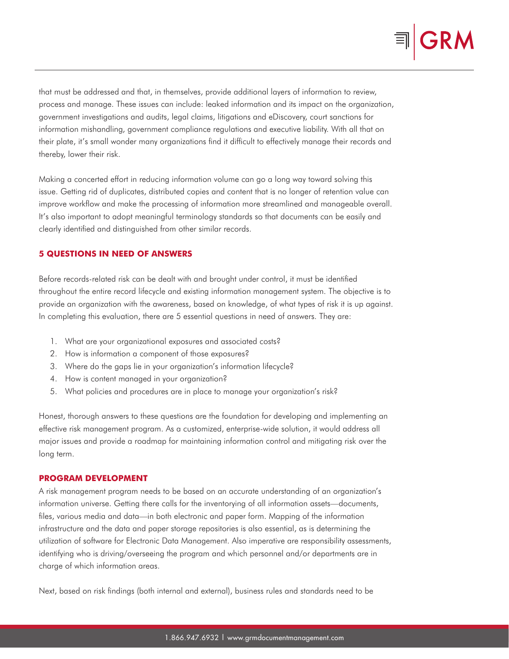

that must be addressed and that, in themselves, provide additional layers of information to review, process and manage. These issues can include: leaked information and its impact on the organization, government investigations and audits, legal claims, litigations and eDiscovery, court sanctions for information mishandling, government compliance regulations and executive liability. With all that on their plate, it's small wonder many organizations find it difficult to effectively manage their records and thereby, lower their risk.

Making a concerted effort in reducing information volume can go a long way toward solving this issue. Getting rid of duplicates, distributed copies and content that is no longer of retention value can improve workflow and make the processing of information more streamlined and manageable overall. It's also important to adopt meaningful terminology standards so that documents can be easily and clearly identified and distinguished from other similar records.

## **5 QUESTIONS IN NEED OF ANSWERS**

Before records-related risk can be dealt with and brought under control, it must be identified throughout the entire record lifecycle and existing information management system. The objective is to provide an organization with the awareness, based on knowledge, of what types of risk it is up against. In completing this evaluation, there are 5 essential questions in need of answers. They are:

- 1. What are your organizational exposures and associated costs?
- 2. How is information a component of those exposures?
- 3. Where do the gaps lie in your organization's information lifecycle?
- 4. How is content managed in your organization?
- 5. What policies and procedures are in place to manage your organization's risk?

Honest, thorough answers to these questions are the foundation for developing and implementing an effective risk management program. As a customized, enterprise-wide solution, it would address all major issues and provide a roadmap for maintaining information control and mitigating risk over the long term.

#### **PROGRAM DEVELOPMENT**

A risk management program needs to be based on an accurate understanding of an organization's information universe. Getting there calls for the inventorying of all information assets—documents, files, various media and data—in both electronic and paper form. Mapping of the information infrastructure and the data and paper storage repositories is also essential, as is determining the utilization of software for Electronic Data Management. Also imperative are responsibility assessments, identifying who is driving/overseeing the program and which personnel and/or departments are in charge of which information areas.

Next, based on risk findings (both internal and external), business rules and standards need to be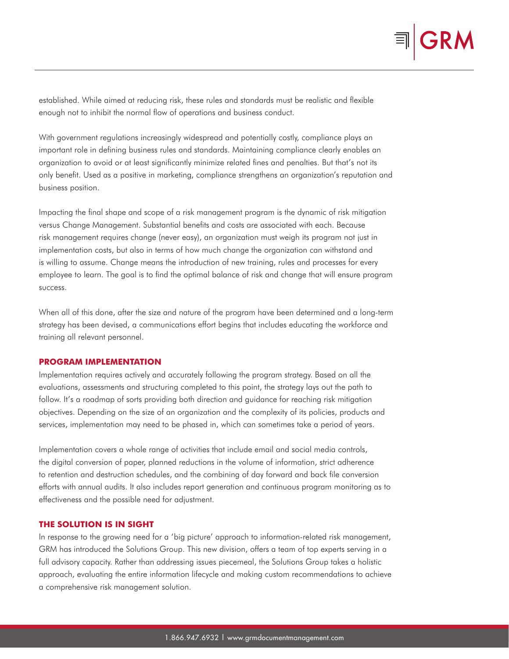

established. While aimed at reducing risk, these rules and standards must be realistic and flexible enough not to inhibit the normal flow of operations and business conduct.

With government regulations increasingly widespread and potentially costly, compliance plays an important role in defining business rules and standards. Maintaining compliance clearly enables an organization to avoid or at least significantly minimize related fines and penalties. But that's not its only benefit. Used as a positive in marketing, compliance strengthens an organization's reputation and business position.

Impacting the final shape and scope of a risk management program is the dynamic of risk mitigation versus Change Management. Substantial benefits and costs are associated with each. Because risk management requires change (never easy), an organization must weigh its program not just in implementation costs, but also in terms of how much change the organization can withstand and is willing to assume. Change means the introduction of new training, rules and processes for every employee to learn. The goal is to find the optimal balance of risk and change that will ensure program success.

When all of this done, after the size and nature of the program have been determined and a long-term strategy has been devised, a communications effort begins that includes educating the workforce and training all relevant personnel.

### **PROGRAM IMPLEMENTATION**

Implementation requires actively and accurately following the program strategy. Based on all the evaluations, assessments and structuring completed to this point, the strategy lays out the path to follow. It's a roadmap of sorts providing both direction and guidance for reaching risk mitigation objectives. Depending on the size of an organization and the complexity of its policies, products and services, implementation may need to be phased in, which can sometimes take a period of years.

Implementation covers a whole range of activities that include email and social media controls, the digital conversion of paper, planned reductions in the volume of information, strict adherence to retention and destruction schedules, and the combining of day forward and back file conversion efforts with annual audits. It also includes report generation and continuous program monitoring as to effectiveness and the possible need for adjustment.

## **THE SOLUTION IS IN SIGHT**

In response to the growing need for a 'big picture' approach to information-related risk management, GRM has introduced the Solutions Group. This new division, offers a team of top experts serving in a full advisory capacity. Rather than addressing issues piecemeal, the Solutions Group takes a holistic approach, evaluating the entire information lifecycle and making custom recommendations to achieve a comprehensive risk management solution.